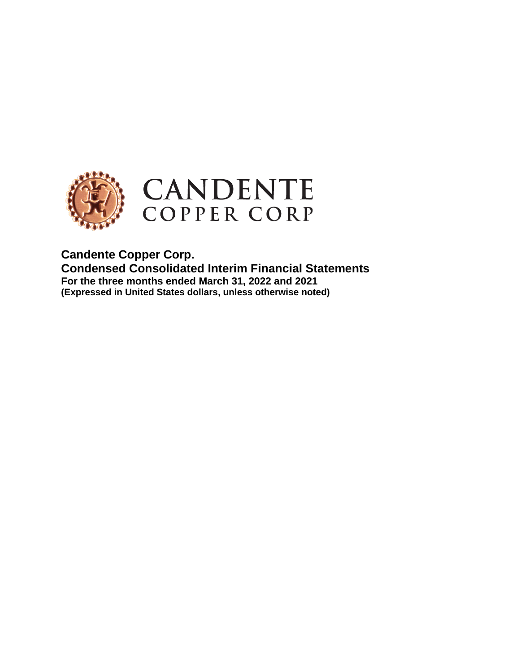

**Candente Copper Corp. Condensed Consolidated Interim Financial Statements For the three months ended March 31, 2022 and 2021 (Expressed in United States dollars, unless otherwise noted)**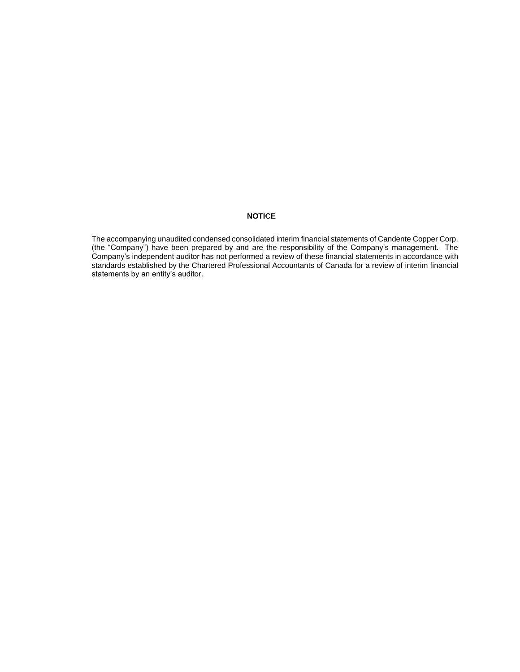### **NOTICE**

The accompanying unaudited condensed consolidated interim financial statements of Candente Copper Corp. (the "Company") have been prepared by and are the responsibility of the Company's management. The Company's independent auditor has not performed a review of these financial statements in accordance with standards established by the Chartered Professional Accountants of Canada for a review of interim financial statements by an entity's auditor.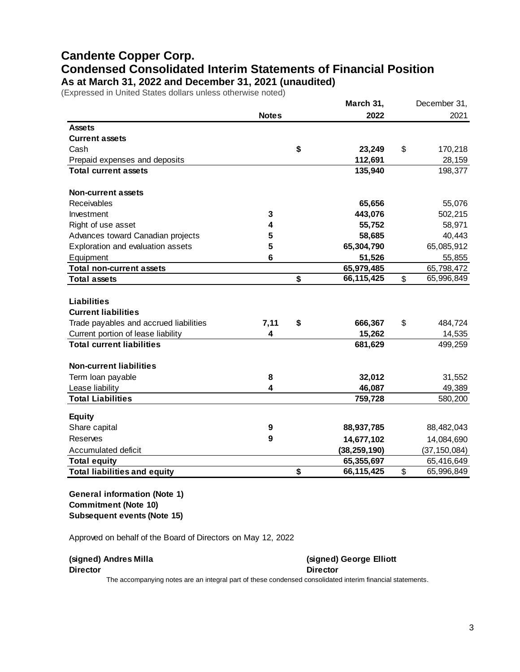### **Candente Copper Corp. Condensed Consolidated Interim Statements of Financial Position As at March 31, 2022 and December 31, 2021 (unaudited)**

(Expressed in United States dollars unless otherwise noted)

| <b>Notes</b><br>2022<br><b>Assets</b><br><b>Current assets</b><br>Cash<br>\$<br>23,249<br>\$<br>112,691<br>Prepaid expenses and deposits<br>135,940<br><b>Total current assets</b><br><b>Non-current assets</b><br>Receivables<br>65,656<br>443,076<br>Investment<br>3<br>Right of use asset<br>4<br>55,752<br>Advances toward Canadian projects<br>5<br>58,685<br>5<br>Exploration and evaluation assets<br>65,304,790<br>6<br>Equipment<br>51,526 |                                 |  | March 31,  | December 31,   |
|-----------------------------------------------------------------------------------------------------------------------------------------------------------------------------------------------------------------------------------------------------------------------------------------------------------------------------------------------------------------------------------------------------------------------------------------------------|---------------------------------|--|------------|----------------|
|                                                                                                                                                                                                                                                                                                                                                                                                                                                     |                                 |  |            | 2021           |
|                                                                                                                                                                                                                                                                                                                                                                                                                                                     |                                 |  |            |                |
|                                                                                                                                                                                                                                                                                                                                                                                                                                                     |                                 |  |            |                |
|                                                                                                                                                                                                                                                                                                                                                                                                                                                     |                                 |  |            | 170,218        |
|                                                                                                                                                                                                                                                                                                                                                                                                                                                     |                                 |  |            | 28,159         |
|                                                                                                                                                                                                                                                                                                                                                                                                                                                     |                                 |  |            | 198,377        |
|                                                                                                                                                                                                                                                                                                                                                                                                                                                     |                                 |  |            |                |
|                                                                                                                                                                                                                                                                                                                                                                                                                                                     |                                 |  |            | 55,076         |
|                                                                                                                                                                                                                                                                                                                                                                                                                                                     |                                 |  |            | 502,215        |
|                                                                                                                                                                                                                                                                                                                                                                                                                                                     |                                 |  |            | 58,971         |
|                                                                                                                                                                                                                                                                                                                                                                                                                                                     |                                 |  |            | 40,443         |
|                                                                                                                                                                                                                                                                                                                                                                                                                                                     |                                 |  |            | 65,085,912     |
|                                                                                                                                                                                                                                                                                                                                                                                                                                                     |                                 |  |            | 55,855         |
|                                                                                                                                                                                                                                                                                                                                                                                                                                                     | <b>Total non-current assets</b> |  | 65,979,485 | 65,798,472     |
| \$<br>66,115,425<br>\$<br><b>Total assets</b>                                                                                                                                                                                                                                                                                                                                                                                                       |                                 |  |            | 65,996,849     |
|                                                                                                                                                                                                                                                                                                                                                                                                                                                     |                                 |  |            |                |
| <b>Liabilities</b>                                                                                                                                                                                                                                                                                                                                                                                                                                  |                                 |  |            |                |
| <b>Current liabilities</b>                                                                                                                                                                                                                                                                                                                                                                                                                          |                                 |  |            |                |
| Trade payables and accrued liabilities<br>7,11<br>\$<br>666,367<br>\$                                                                                                                                                                                                                                                                                                                                                                               |                                 |  |            | 484,724        |
| Current portion of lease liability<br>4<br>15,262                                                                                                                                                                                                                                                                                                                                                                                                   |                                 |  |            | 14,535         |
| <b>Total current liabilities</b><br>681,629                                                                                                                                                                                                                                                                                                                                                                                                         |                                 |  |            | 499,259        |
| <b>Non-current liabilities</b>                                                                                                                                                                                                                                                                                                                                                                                                                      |                                 |  |            |                |
| Term loan payable<br>8<br>32,012                                                                                                                                                                                                                                                                                                                                                                                                                    |                                 |  |            | 31,552         |
| Lease liability<br>4<br>46,087                                                                                                                                                                                                                                                                                                                                                                                                                      |                                 |  |            | 49,389         |
| <b>Total Liabilities</b><br>759,728                                                                                                                                                                                                                                                                                                                                                                                                                 |                                 |  |            | 580,200        |
| <b>Equity</b>                                                                                                                                                                                                                                                                                                                                                                                                                                       |                                 |  |            |                |
| Share capital<br>9<br>88,937,785                                                                                                                                                                                                                                                                                                                                                                                                                    |                                 |  |            | 88,482,043     |
| Reserves<br>9<br>14,677,102                                                                                                                                                                                                                                                                                                                                                                                                                         |                                 |  |            | 14,084,690     |
| Accumulated deficit<br>(38, 259, 190)                                                                                                                                                                                                                                                                                                                                                                                                               |                                 |  |            | (37, 150, 084) |
| <b>Total equity</b><br>65,355,697                                                                                                                                                                                                                                                                                                                                                                                                                   |                                 |  |            | 65,416,649     |
| \$<br>66,115,425<br>\$<br><b>Total liabilities and equity</b>                                                                                                                                                                                                                                                                                                                                                                                       |                                 |  |            | 65,996,849     |

**General information (Note 1) Commitment (Note 10) Subsequent events (Note 15)**

Approved on behalf of the Board of Directors on May 12, 2022

**(signed) Andres Milla (signed) George Elliott Director Director**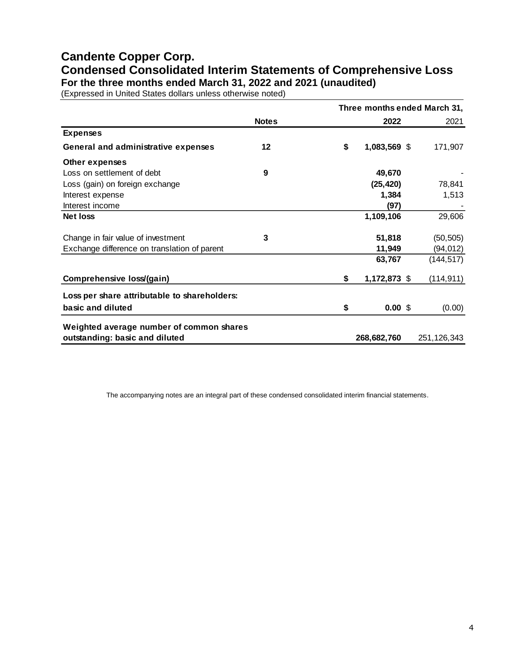### **Candente Copper Corp. Condensed Consolidated Interim Statements of Comprehensive Loss For the three months ended March 31, 2022 and 2021 (unaudited)**

(Expressed in United States dollars unless otherwise noted)

|                                              |              |                    | Three months ended March 31, |
|----------------------------------------------|--------------|--------------------|------------------------------|
|                                              | <b>Notes</b> | 2022               | 2021                         |
| <b>Expenses</b>                              |              |                    |                              |
| <b>General and administrative expenses</b>   | 12           | \$<br>1,083,569 \$ | 171,907                      |
| Other expenses                               |              |                    |                              |
| Loss on settlement of debt                   | 9            | 49,670             |                              |
| Loss (gain) on foreign exchange              |              | (25, 420)          | 78,841                       |
| Interest expense                             |              | 1,384              | 1,513                        |
| Interest income                              |              | (97)               |                              |
| <b>Net loss</b>                              |              | 1,109,106          | 29,606                       |
| Change in fair value of investment           | 3            | 51,818             | (50, 505)                    |
| Exchange difference on translation of parent |              | 11,949             | (94, 012)                    |
|                                              |              | 63,767             | (144, 517)                   |
| Comprehensive loss/(gain)                    |              | \$<br>1,172,873 \$ | (114, 911)                   |
| Loss per share attributable to shareholders: |              |                    |                              |
| basic and diluted                            |              | \$<br>0.00~\$      | (0.00)                       |
| Weighted average number of common shares     |              |                    |                              |
| outstanding: basic and diluted               |              | 268,682,760        | 251, 126, 343                |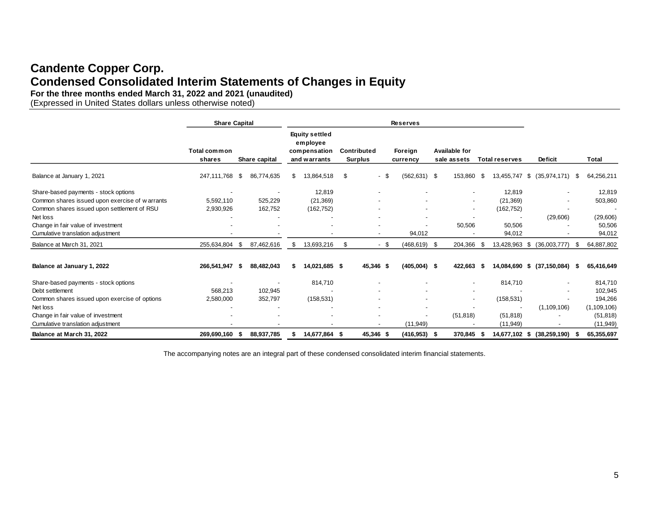### **Candente Copper Corp. Condensed Consolidated Interim Statements of Changes in Equity**

**For the three months ended March 31, 2022 and 2021 (unaudited)**

(Expressed in United States dollars unless otherwise noted)

|                                                | <b>Share Capital</b>          |     |               |                                                                   |               |                               |                |                     | <b>Reserves</b>          |                                     |                          |                       |                          |                |                          |      |               |
|------------------------------------------------|-------------------------------|-----|---------------|-------------------------------------------------------------------|---------------|-------------------------------|----------------|---------------------|--------------------------|-------------------------------------|--------------------------|-----------------------|--------------------------|----------------|--------------------------|------|---------------|
|                                                | <b>Total common</b><br>shares |     | Share capital | <b>Equity settled</b><br>employee<br>compensation<br>and warrants |               | Contributed<br><b>Surplus</b> |                | Foreign<br>currency |                          | <b>Available for</b><br>sale assets |                          | <b>Total reserves</b> |                          | <b>Deficit</b> |                          |      | Total         |
| Balance at January 1, 2021                     | 247,111,768                   | -\$ | 86,774,635    | \$                                                                | 13,864,518    | \$                            | - \$           |                     | $(562, 631)$ \$          |                                     | 153,860                  | - \$                  | 13,455,747 \$            |                | (35, 974, 171)           | \$   | 64,256,211    |
| Share-based payments - stock options           |                               |     |               |                                                                   | 12,819        |                               |                |                     |                          |                                     | $\overline{\phantom{a}}$ |                       | 12,819                   |                |                          |      | 12,819        |
| Common shares issued upon exercise of warrants | 5,592,110                     |     | 525,229       |                                                                   | (21, 369)     |                               |                |                     | $\overline{\phantom{a}}$ |                                     | $\overline{\phantom{a}}$ |                       | (21, 369)                |                | $\overline{\phantom{a}}$ |      | 503,860       |
| Common shares issued upon settlement of RSU    | 2,930,926                     |     | 162,752       |                                                                   | (162, 752)    |                               |                |                     |                          |                                     | $\overline{\phantom{a}}$ |                       | (162,752)                |                |                          |      |               |
| Net loss                                       |                               |     |               |                                                                   |               |                               |                |                     |                          |                                     |                          |                       |                          |                | (29,606)                 |      | (29, 606)     |
| Change in fair value of investment             |                               |     |               |                                                                   |               |                               |                |                     |                          |                                     | 50,506                   |                       | 50,506                   |                |                          |      | 50,506        |
| Cumulative translation adjustment              |                               |     |               |                                                                   |               |                               | $\blacksquare$ |                     | 94,012                   |                                     |                          |                       | 94,012                   |                |                          |      | 94,012        |
| Balance at March 31, 2021                      | 255,634,804                   | -S  | 87,462,616    | \$                                                                | 13,693,216    | \$                            | - \$           |                     | $(468, 619)$ \$          |                                     | 204,366                  | - \$                  | 13,428,963 \$            |                | (36,003,777)             |      | 64,887,802    |
| Balance at January 1, 2022                     | 266,541,947                   | - S | 88,482,043    | \$                                                                | 14,021,685 \$ |                               | 45,346 \$      |                     | $(405,004)$ \$           |                                     | 422.663                  | - \$                  | 14,084,690 \$            |                | (37, 150, 084)           | - \$ | 65,416,649    |
| Share-based payments - stock options           |                               |     |               |                                                                   | 814,710       |                               |                |                     |                          |                                     | $\overline{\phantom{a}}$ |                       | 814,710                  |                |                          |      | 814,710       |
| Debt settlement                                | 568,213                       |     | 102,945       |                                                                   |               |                               |                |                     |                          |                                     |                          |                       |                          |                |                          |      | 102,945       |
| Common shares issued upon exercise of options  | 2,580,000                     |     | 352,797       |                                                                   | (158, 531)    |                               |                |                     |                          |                                     | $\overline{\phantom{a}}$ |                       | (158, 531)               |                |                          |      | 194,266       |
| Net loss                                       |                               |     |               |                                                                   |               |                               |                |                     |                          |                                     |                          |                       | $\overline{\phantom{a}}$ |                | (1, 109, 106)            |      | (1, 109, 106) |
| Change in fair value of investment             |                               |     |               |                                                                   |               |                               |                |                     |                          |                                     | (51, 818)                |                       | (51, 818)                |                |                          |      | (51, 818)     |
| Cumulative translation adjustment              |                               |     |               |                                                                   |               |                               | ۰              |                     | (11, 949)                |                                     |                          |                       | (11, 949)                |                |                          |      | (11, 949)     |
| Balance at March 31, 2022                      | 269,690,160                   | - 5 | 88,937,785    | \$                                                                | 14,677,864 \$ |                               | 45,346 \$      |                     | $(416, 953)$ \$          |                                     | 370,845 \$               |                       | 14,677,102 \$            |                | (38, 259, 190)           | - 56 | 65,355,697    |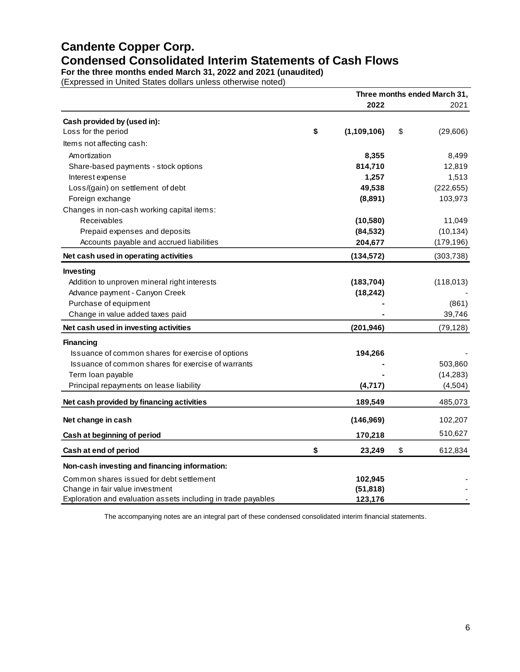### **Candente Copper Corp. Condensed Consolidated Interim Statements of Cash Flows**

**For the three months ended March 31, 2022 and 2021 (unaudited)**

(Expressed in United States dollars unless otherwise noted)

|                                                               |                     | Three months ended March 31, |
|---------------------------------------------------------------|---------------------|------------------------------|
|                                                               | 2022                | 2021                         |
| Cash provided by (used in):                                   |                     |                              |
| Loss for the period                                           | \$<br>(1, 109, 106) | \$<br>(29,606)               |
| Items not affecting cash:                                     |                     |                              |
| Amortization                                                  | 8,355               | 8,499                        |
| Share-based payments - stock options                          | 814,710             | 12,819                       |
| Interest expense                                              | 1,257               | 1,513                        |
| Loss/(gain) on settlement of debt                             | 49,538              | (222, 655)                   |
| Foreign exchange                                              | (8,891)             | 103,973                      |
| Changes in non-cash working capital items:                    |                     |                              |
| Receivables                                                   | (10, 580)           | 11,049                       |
| Prepaid expenses and deposits                                 | (84, 532)           | (10, 134)                    |
| Accounts payable and accrued liabilities                      | 204,677             | (179, 196)                   |
| Net cash used in operating activities                         | (134, 572)          | (303, 738)                   |
| <b>Investing</b>                                              |                     |                              |
| Addition to unproven mineral right interests                  | (183, 704)          | (118, 013)                   |
| Advance payment - Canyon Creek                                | (18, 242)           |                              |
| Purchase of equipment                                         |                     | (861)                        |
| Change in value added taxes paid                              |                     | 39,746                       |
| Net cash used in investing activities                         | (201, 946)          | (79, 128)                    |
| <b>Financing</b>                                              |                     |                              |
| Issuance of common shares for exercise of options             | 194,266             |                              |
| Issuance of common shares for exercise of warrants            |                     | 503,860                      |
| Term loan payable                                             |                     | (14, 283)                    |
| Principal repayments on lease liability                       | (4,717)             | (4, 504)                     |
| Net cash provided by financing activities                     | 189,549             | 485,073                      |
| Net change in cash                                            | (146,969)           | 102,207                      |
| Cash at beginning of period                                   | 170,218             | 510,627                      |
| Cash at end of period                                         | \$<br>23,249        | \$<br>612,834                |
| Non-cash investing and financing information:                 |                     |                              |
| Common shares issued for debt settlement                      | 102,945             |                              |
| Change in fair value investment                               | (51, 818)           |                              |
| Exploration and evaluation assets including in trade payables | 123,176             |                              |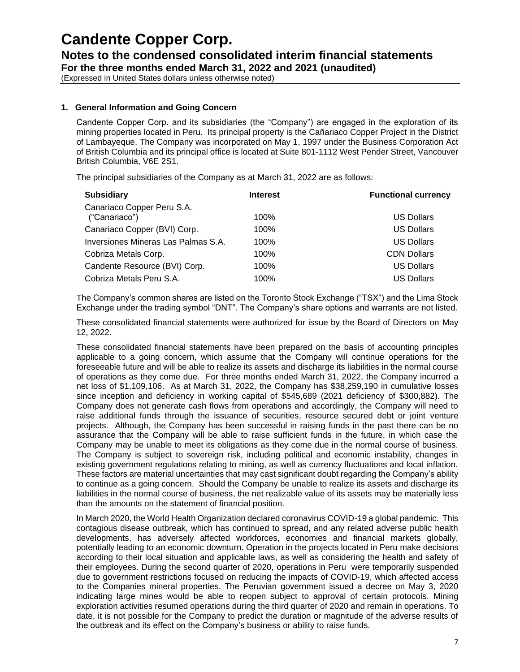**Notes to the condensed consolidated interim financial statements**

**For the three months ended March 31, 2022 and 2021 (unaudited)**

(Expressed in United States dollars unless otherwise noted)

### **1. General Information and Going Concern**

Candente Copper Corp. and its subsidiaries (the "Company") are engaged in the exploration of its mining properties located in Peru. Its principal property is the Cañariaco Copper Project in the District of Lambayeque. The Company was incorporated on May 1, 1997 under the Business Corporation Act of British Columbia and its principal office is located at Suite 801-1112 West Pender Street, Vancouver British Columbia, V6E 2S1.

The principal subsidiaries of the Company as at March 31, 2022 are as follows:

| <b>Interest</b> | <b>Functional currency</b> |
|-----------------|----------------------------|
| 100%            | <b>US Dollars</b>          |
| 100%            | <b>US Dollars</b>          |
| 100%            | <b>US Dollars</b>          |
| 100%            | <b>CDN Dollars</b>         |
| 100%            | <b>US Dollars</b>          |
| 100%            | <b>US Dollars</b>          |
|                 |                            |

The Company's common shares are listed on the Toronto Stock Exchange ("TSX") and the Lima Stock Exchange under the trading symbol "DNT". The Company's share options and warrants are not listed.

These consolidated financial statements were authorized for issue by the Board of Directors on May 12, 2022.

These consolidated financial statements have been prepared on the basis of accounting principles applicable to a going concern, which assume that the Company will continue operations for the foreseeable future and will be able to realize its assets and discharge its liabilities in the normal course of operations as they come due. For three months ended March 31, 2022, the Company incurred a net loss of \$1,109,106. As at March 31, 2022, the Company has \$38,259,190 in cumulative losses since inception and deficiency in working capital of \$545,689 (2021 deficiency of \$300,882). The Company does not generate cash flows from operations and accordingly, the Company will need to raise additional funds through the issuance of securities, resource secured debt or joint venture projects. Although, the Company has been successful in raising funds in the past there can be no assurance that the Company will be able to raise sufficient funds in the future, in which case the Company may be unable to meet its obligations as they come due in the normal course of business. The Company is subject to sovereign risk, including political and economic instability, changes in existing government regulations relating to mining, as well as currency fluctuations and local inflation. These factors are material uncertainties that may cast significant doubt regarding the Company's ability to continue as a going concern. Should the Company be unable to realize its assets and discharge its liabilities in the normal course of business, the net realizable value of its assets may be materially less than the amounts on the statement of financial position.

In March 2020, the World Health Organization declared coronavirus COVID-19 a global pandemic. This contagious disease outbreak, which has continued to spread, and any related adverse public health developments, has adversely affected workforces, economies and financial markets globally, potentially leading to an economic downturn. Operation in the projects located in Peru make decisions according to their local situation and applicable laws, as well as considering the health and safety of their employees. During the second quarter of 2020, operations in Peru were temporarily suspended due to government restrictions focused on reducing the impacts of COVID-19, which affected access to the Companies mineral properties. The Peruvian government issued a decree on May 3, 2020 indicating large mines would be able to reopen subject to approval of certain protocols. Mining exploration activities resumed operations during the third quarter of 2020 and remain in operations. To date, it is not possible for the Company to predict the duration or magnitude of the adverse results of the outbreak and its effect on the Company's business or ability to raise funds.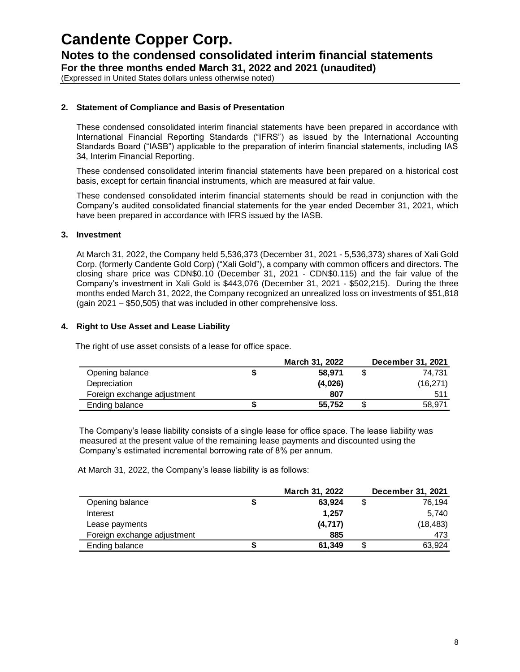**Notes to the condensed consolidated interim financial statements**

**For the three months ended March 31, 2022 and 2021 (unaudited)**

(Expressed in United States dollars unless otherwise noted)

### **2. Statement of Compliance and Basis of Presentation**

These condensed consolidated interim financial statements have been prepared in accordance with International Financial Reporting Standards ("IFRS") as issued by the International Accounting Standards Board ("IASB") applicable to the preparation of interim financial statements, including IAS 34, Interim Financial Reporting.

These condensed consolidated interim financial statements have been prepared on a historical cost basis, except for certain financial instruments, which are measured at fair value.

These condensed consolidated interim financial statements should be read in conjunction with the Company's audited consolidated financial statements for the year ended December 31, 2021, which have been prepared in accordance with IFRS issued by the IASB.

#### **3. Investment**

At March 31, 2022, the Company held 5,536,373 (December 31, 2021 - 5,536,373) shares of Xali Gold Corp. (formerly Candente Gold Corp) ("Xali Gold"), a company with common officers and directors. The closing share price was CDN\$0.10 (December 31, 2021 - CDN\$0.115) and the fair value of the Company's investment in Xali Gold is \$443,076 (December 31, 2021 - \$502,215). During the three months ended March 31, 2022, the Company recognized an unrealized loss on investments of \$51,818 (gain 2021 – \$50,505) that was included in other comprehensive loss.

### **4. Right to Use Asset and Lease Liability**

The right of use asset consists of a lease for office space.

|                             | March 31, 2022 | December 31, 2021 |
|-----------------------------|----------------|-------------------|
| Opening balance             | 58.971         | 74.731            |
| Depreciation                | (4,026)        | (16, 271)         |
| Foreign exchange adjustment | 807            | 511               |
| Ending balance              | 55.752         | 58.971            |

The Company's lease liability consists of a single lease for office space. The lease liability was measured at the present value of the remaining lease payments and discounted using the Company's estimated incremental borrowing rate of 8% per annum.

At March 31, 2022, the Company's lease liability is as follows:

|                             | March 31, 2022 | December 31, 2021 |
|-----------------------------|----------------|-------------------|
| Opening balance             | 63.924         | \$<br>76.194      |
| Interest                    | 1.257          | 5.740             |
| Lease payments              | (4, 717)       | (18, 483)         |
| Foreign exchange adjustment | 885            | 473               |
| Ending balance              | 61.349         | \$<br>63.924      |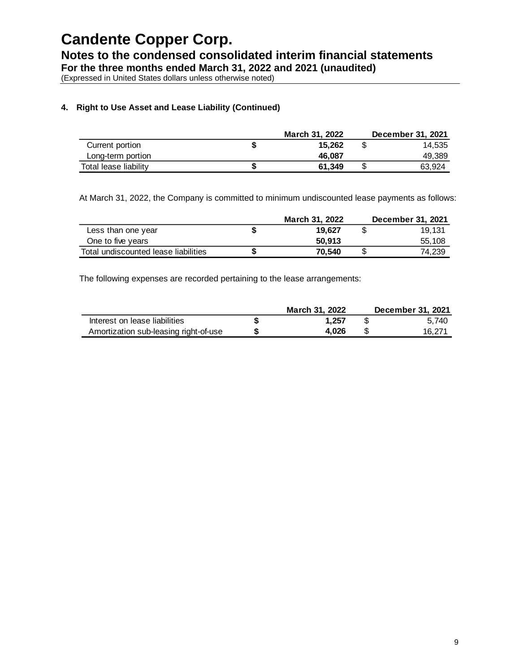**Notes to the condensed consolidated interim financial statements**

**For the three months ended March 31, 2022 and 2021 (unaudited)**

(Expressed in United States dollars unless otherwise noted)

### **4. Right to Use Asset and Lease Liability (Continued)**

|                       | March 31, 2022 | December 31, 2021 |
|-----------------------|----------------|-------------------|
| Current portion       | 15.262         | 14.535            |
| Long-term portion     | 46.087         | 49,389            |
| Total lease liability | 61.349         | 63.924            |

At March 31, 2022, the Company is committed to minimum undiscounted lease payments as follows:

|                                      | March 31, 2022 | <b>December 31, 2021</b> |
|--------------------------------------|----------------|--------------------------|
| Less than one year                   | 19.627         | 19.131                   |
| One to five years                    | 50.913         | 55,108                   |
| Total undiscounted lease liabilities | 70.540         | 74.239                   |

The following expenses are recorded pertaining to the lease arrangements:

|                                       | March 31, 2022 | <b>December 31, 2021</b> |
|---------------------------------------|----------------|--------------------------|
| Interest on lease liabilities         | 1.257          | 5.740                    |
| Amortization sub-leasing right-of-use | 4.026          | 16.271                   |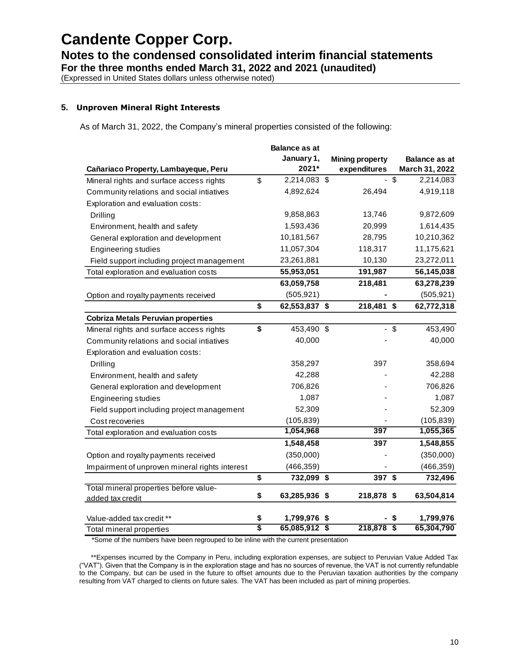**Notes to the condensed consolidated interim financial statements**

**For the three months ended March 31, 2022 and 2021 (unaudited)**

(Expressed in United States dollars unless otherwise noted)

### **5. Unproven Mineral Right Interests**

As of March 31, 2022, the Company's mineral properties consisted of the following:

|                                                |                 | <b>Balance as at</b> |                        |               |                      |
|------------------------------------------------|-----------------|----------------------|------------------------|---------------|----------------------|
|                                                |                 | January 1,           | <b>Mining property</b> |               | <b>Balance as at</b> |
| Cañariaco Property, Lambayeque, Peru           |                 | 2021*                | expenditures           |               | March 31, 2022       |
| Mineral rights and surface access rights       | \$              | 2,214,083 \$         |                        | $\mathsf{\$}$ | 2,214,083            |
| Community relations and social intiatives      |                 | 4,892,624            | 26,494                 |               | 4,919,118            |
| Exploration and evaluation costs:              |                 |                      |                        |               |                      |
| Drilling                                       |                 | 9,858,863            | 13,746                 |               | 9,872,609            |
| Environment, health and safety                 |                 | 1,593,436            | 20,999                 |               | 1,614,435            |
| General exploration and development            |                 | 10,181,567           | 28,795                 |               | 10,210,362           |
| <b>Engineering studies</b>                     |                 | 11,057,304           | 118,317                |               | 11,175,621           |
| Field support including project management     |                 | 23,261,881           | 10,130                 |               | 23,272,011           |
| Total exploration and evaluation costs         |                 | 55,953,051           | 191,987                |               | 56,145,038           |
|                                                |                 | 63,059,758           | 218,481                |               | 63,278,239           |
| Option and royalty payments received           |                 | (505, 921)           |                        |               | (505, 921)           |
|                                                | \$              | 62,553,837 \$        | 218,481 \$             |               | 62,772,318           |
| <b>Cobriza Metals Peruvian properties</b>      |                 |                      |                        |               |                      |
| Mineral rights and surface access rights       | $\overline{\$}$ | 453,490 \$           |                        | $-$ \$        | 453,490              |
| Community relations and social intiatives      |                 | 40,000               |                        |               | 40,000               |
| Exploration and evaluation costs:              |                 |                      |                        |               |                      |
| Drilling                                       |                 | 358,297              | 397                    |               | 358,694              |
| Environment, health and safety                 |                 | 42,288               |                        |               | 42,288               |
| General exploration and development            |                 | 706,826              |                        |               | 706,826              |
| <b>Engineering studies</b>                     |                 | 1,087                |                        |               | 1,087                |
| Field support including project management     |                 | 52,309               |                        |               | 52,309               |
| Cost recoveries                                |                 | (105, 839)           |                        |               | (105, 839)           |
| Total exploration and evaluation costs         |                 | 1,054,968            | 397                    |               | 1,055,365            |
|                                                |                 | 1,548,458            | 397                    |               | 1,548,855            |
| Option and royalty payments received           |                 | (350,000)            |                        |               | (350,000)            |
| Impairment of unproven mineral rights interest |                 | (466, 359)           |                        |               | (466, 359)           |
|                                                | \$              | 732,099 \$           | 397 \$                 |               | 732,496              |
| Total mineral properties before value-         | \$              | 63,285,936 \$        | 218,878 \$             |               | 63,504,814           |
| added tax credit                               |                 |                      |                        |               |                      |
| Value-added tax credit **                      | \$              | 1,799,976 \$         |                        | \$            | 1,799,976            |
| Total mineral properties                       | \$              | 65,085,912 \$        | $218,878$ \$           |               | 65,304,790           |

\*Some of the numbers have been regrouped to be inline with the current presentation

 \*\*Expenses incurred by the Company in Peru, including exploration expenses, are subject to Peruvian Value Added Tax ("VAT"). Given that the Company is in the exploration stage and has no sources of revenue, the VAT is not currently refundable to the Company, but can be used in the future to offset amounts due to the Peruvian taxation authorities by the company resulting from VAT charged to clients on future sales. The VAT has been included as part of mining properties.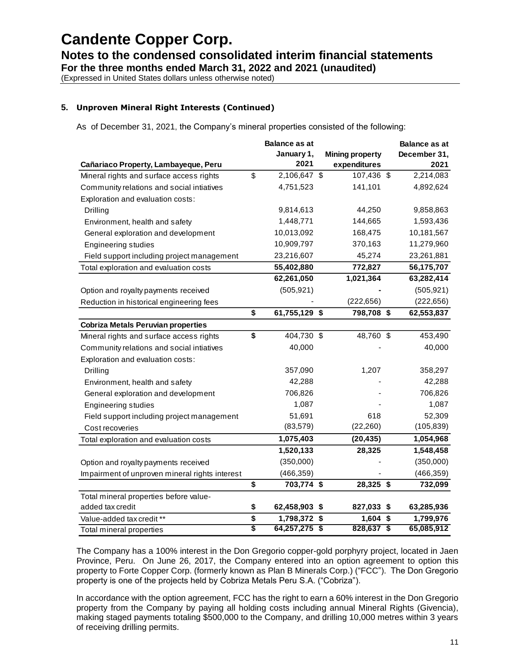**Notes to the condensed consolidated interim financial statements**

**For the three months ended March 31, 2022 and 2021 (unaudited)**

(Expressed in United States dollars unless otherwise noted)

### **5. Unproven Mineral Right Interests (Continued)**

As of December 31, 2021, the Company's mineral properties consisted of the following:

|                                                | <b>Balance as at</b>  |                        | <b>Balance as at</b> |
|------------------------------------------------|-----------------------|------------------------|----------------------|
|                                                | January 1,            | <b>Mining property</b> | December 31,         |
| Cañariaco Property, Lambayeque, Peru           | 2021                  | expenditures           | 2021                 |
| Mineral rights and surface access rights       | \$<br>2,106,647 \$    | 107,436 \$             | 2,214,083            |
| Community relations and social intiatives      | 4,751,523             | 141,101                | 4,892,624            |
| Exploration and evaluation costs:              |                       |                        |                      |
| Drilling                                       | 9,814,613             | 44,250                 | 9,858,863            |
| Environment, health and safety                 | 1,448,771             | 144,665                | 1,593,436            |
| General exploration and development            | 10,013,092            | 168,475                | 10,181,567           |
| <b>Engineering studies</b>                     | 10,909,797            | 370,163                | 11,279,960           |
| Field support including project management     | 23,216,607            | 45,274                 | 23,261,881           |
| Total exploration and evaluation costs         | 55,402,880            | 772,827                | 56,175,707           |
|                                                | 62,261,050            | 1,021,364              | 63,282,414           |
| Option and royalty payments received           | (505, 921)            |                        | (505, 921)           |
| Reduction in historical engineering fees       |                       | (222, 656)             | (222, 656)           |
|                                                | \$<br>61,755,129 \$   | 798,708 \$             | 62,553,837           |
| <b>Cobriza Metals Peruvian properties</b>      |                       |                        |                      |
| Mineral rights and surface access rights       | \$<br>404,730 \$      | 48,760 \$              | 453,490              |
| Community relations and social intiatives      | 40,000                |                        | 40,000               |
| Exploration and evaluation costs:              |                       |                        |                      |
| Drilling                                       | 357,090               | 1,207                  | 358,297              |
| Environment, health and safety                 | 42,288                |                        | 42,288               |
| General exploration and development            | 706,826               |                        | 706,826              |
| <b>Engineering studies</b>                     | 1,087                 |                        | 1,087                |
| Field support including project management     | 51,691                | 618                    | 52,309               |
| Cost recoveries                                | (83, 579)             | (22, 260)              | (105, 839)           |
| Total exploration and evaluation costs         | 1,075,403             | (20, 435)              | 1,054,968            |
|                                                | 1,520,133             | 28,325                 | 1,548,458            |
| Option and royalty payments received           | (350,000)             |                        | (350,000)            |
| Impairment of unproven mineral rights interest | (466, 359)            |                        | (466, 359)           |
|                                                | \$<br>703,774 \$      | 28,325 \$              | 732,099              |
| Total mineral properties before value-         |                       |                        |                      |
| added tax credit                               | \$<br>62,458,903 \$   | 827,033 \$             | 63,285,936           |
| Value-added tax credit **                      | \$<br>1,798,372 \$    | $1,604$ \$             | 1,799,976            |
| Total mineral properties                       | \$<br>$64,257,275$ \$ | $828,637$ \$           | 65,085,912           |

The Company has a 100% interest in the Don Gregorio copper-gold porphyry project, located in Jaen Province, Peru. On June 26, 2017, the Company entered into an option agreement to option this property to Forte Copper Corp. (formerly known as Plan B Minerals Corp.) ("FCC"). The Don Gregorio property is one of the projects held by Cobriza Metals Peru S.A. ("Cobriza").

In accordance with the option agreement, FCC has the right to earn a 60% interest in the Don Gregorio property from the Company by paying all holding costs including annual Mineral Rights (Givencia), making staged payments totaling \$500,000 to the Company, and drilling 10,000 metres within 3 years of receiving drilling permits.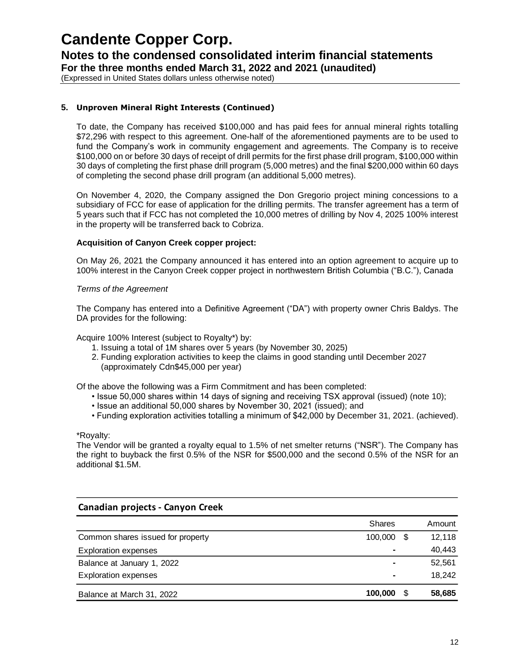**Notes to the condensed consolidated interim financial statements**

**For the three months ended March 31, 2022 and 2021 (unaudited)**

(Expressed in United States dollars unless otherwise noted)

### **5. Unproven Mineral Right Interests (Continued)**

To date, the Company has received \$100,000 and has paid fees for annual mineral rights totalling \$72,296 with respect to this agreement. One-half of the aforementioned payments are to be used to fund the Company's work in community engagement and agreements. The Company is to receive \$100,000 on or before 30 days of receipt of drill permits for the first phase drill program, \$100,000 within 30 days of completing the first phase drill program (5,000 metres) and the final \$200,000 within 60 days of completing the second phase drill program (an additional 5,000 metres).

On November 4, 2020, the Company assigned the Don Gregorio project mining concessions to a subsidiary of FCC for ease of application for the drilling permits. The transfer agreement has a term of 5 years such that if FCC has not completed the 10,000 metres of drilling by Nov 4, 2025 100% interest in the property will be transferred back to Cobriza.

### **Acquisition of Canyon Creek copper project:**

On May 26, 2021 the Company announced it has entered into an option agreement to acquire up to 100% interest in the Canyon Creek copper project in northwestern British Columbia ("B.C."), Canada

#### *Terms of the Agreement*

The Company has entered into a Definitive Agreement ("DA") with property owner Chris Baldys. The DA provides for the following:

Acquire 100% Interest (subject to Royalty\*) by:

- 1. Issuing a total of 1M shares over 5 years (by November 30, 2025)
- 2. Funding exploration activities to keep the claims in good standing until December 2027 (approximately Cdn\$45,000 per year)

Of the above the following was a Firm Commitment and has been completed:

- Issue 50,000 shares within 14 days of signing and receiving TSX approval (issued) (note 10);
- Issue an additional 50,000 shares by November 30, 2021 (issued); and
- Funding exploration activities totalling a minimum of \$42,000 by December 31, 2021. (achieved).

\*Royalty:

The Vendor will be granted a royalty equal to 1.5% of net smelter returns ("NSR"). The Company has the right to buyback the first 0.5% of the NSR for \$500,000 and the second 0.5% of the NSR for an additional \$1.5M.

| Canadian projects - Canyon Creek  |               |        |
|-----------------------------------|---------------|--------|
|                                   | <b>Shares</b> | Amount |
| Common shares issued for property | 100.000<br>S  | 12,118 |
| <b>Exploration expenses</b>       | ۰             | 40,443 |
| Balance at January 1, 2022        |               | 52,561 |
| <b>Exploration expenses</b>       |               | 18.242 |
| Balance at March 31, 2022         | 100.000<br>S  | 58,685 |

### **Canadian projects - Canyon Creek**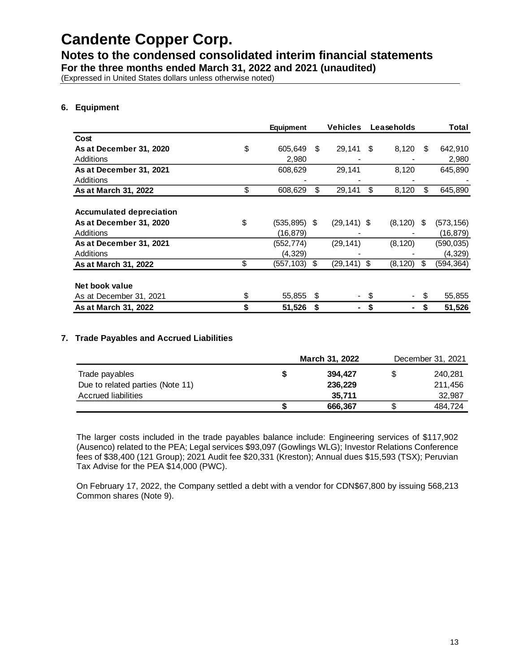**Notes to the condensed consolidated interim financial statements**

**For the three months ended March 31, 2022 and 2021 (unaudited)**

(Expressed in United States dollars unless otherwise noted)

### **6. Equipment**

|                                 | <b>Equipment</b> |     | Vehicles       | Leaseholds    | Total            |
|---------------------------------|------------------|-----|----------------|---------------|------------------|
| Cost                            |                  |     |                |               |                  |
| As at December 31, 2020         | \$<br>605,649    | \$  | 29,141         | \$<br>8,120   | \$<br>642,910    |
| Additions                       | 2,980            |     |                |               | 2,980            |
| As at December 31, 2021         | 608,629          |     | 29,141         | 8,120         | 645,890          |
| <b>Additions</b>                |                  |     |                |               |                  |
| As at March 31, 2022            | \$<br>608,629    | \$  | 29,141         | \$<br>8,120   | \$<br>645,890    |
|                                 |                  |     |                |               |                  |
| <b>Accumulated depreciation</b> |                  |     |                |               |                  |
| As at December 31, 2020         | \$<br>(535, 895) | -\$ | $(29, 141)$ \$ | $(8, 120)$ \$ | (573, 156)       |
| Additions                       | (16,879)         |     |                |               | (16, 879)        |
| As at December 31, 2021         | (552, 774)       |     | (29, 141)      | (8, 120)      | (590, 035)       |
| Additions                       | (4,329)          |     |                |               | (4, 329)         |
| As at March 31, 2022            | \$<br>(557, 103) | \$  | $(29, 141)$ \$ | (8, 120)      | \$<br>(594, 364) |
|                                 |                  |     |                |               |                  |
| Net book value                  |                  |     |                |               |                  |
| As at December 31, 2021         | \$<br>55,855 \$  |     |                | \$            | \$<br>55,855     |
| As at March 31, 2022            | \$<br>51,526     | \$  |                | \$            | \$<br>51,526     |

### **7. Trade Payables and Accrued Liabilities**

|                                  | March 31, 2022 | December 31, 2021 |
|----------------------------------|----------------|-------------------|
| Trade payables                   | 394.427        | 240,281           |
| Due to related parties (Note 11) | 236,229        | 211.456           |
| <b>Accrued liabilities</b>       | 35.711         | 32,987            |
|                                  | 666,367        | 484,724           |

The larger costs included in the trade payables balance include: Engineering services of \$117,902 (Ausenco) related to the PEA; Legal services \$93,097 (Gowlings WLG); Investor Relations Conference fees of \$38,400 (121 Group); 2021 Audit fee \$20,331 (Kreston); Annual dues \$15,593 (TSX); Peruvian Tax Advise for the PEA \$14,000 (PWC).

On February 17, 2022, the Company settled a debt with a vendor for CDN\$67,800 by issuing 568,213 Common shares (Note 9).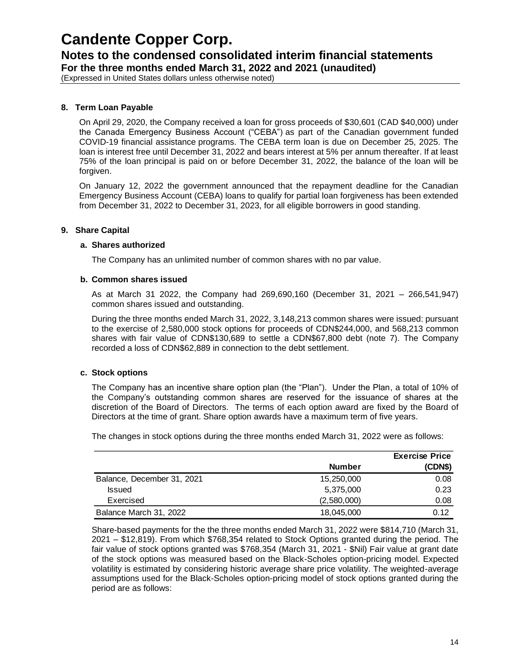**Notes to the condensed consolidated interim financial statements**

**For the three months ended March 31, 2022 and 2021 (unaudited)**

(Expressed in United States dollars unless otherwise noted)

### **8. Term Loan Payable**

On April 29, 2020, the Company received a loan for gross proceeds of \$30,601 (CAD \$40,000) under the Canada Emergency Business Account ("CEBA") as part of the Canadian government funded COVID-19 financial assistance programs. The CEBA term loan is due on December 25, 2025. The loan is interest free until December 31, 2022 and bears interest at 5% per annum thereafter. If at least 75% of the loan principal is paid on or before December 31, 2022, the balance of the loan will be forgiven.

On January 12, 2022 the government announced that the repayment deadline for the Canadian Emergency Business Account (CEBA) loans to qualify for partial loan forgiveness has been extended from December 31, 2022 to December 31, 2023, for all eligible borrowers in good standing.

### **9. Share Capital**

#### **a. Shares authorized**

The Company has an unlimited number of common shares with no par value.

#### **b. Common shares issued**

As at March 31 2022, the Company had 269,690,160 (December 31, 2021 – 266,541,947) common shares issued and outstanding.

During the three months ended March 31, 2022, 3,148,213 common shares were issued: pursuant to the exercise of 2,580,000 stock options for proceeds of CDN\$244,000, and 568,213 common shares with fair value of CDN\$130,689 to settle a CDN\$67,800 debt (note 7). The Company recorded a loss of CDN\$62,889 in connection to the debt settlement.

### **c. Stock options**

The Company has an incentive share option plan (the "Plan"). Under the Plan, a total of 10% of the Company's outstanding common shares are reserved for the issuance of shares at the discretion of the Board of Directors. The terms of each option award are fixed by the Board of Directors at the time of grant. Share option awards have a maximum term of five years.

The changes in stock options during the three months ended March 31, 2022 were as follows:

|                            |               | <b>Exercise Price</b> |
|----------------------------|---------------|-----------------------|
|                            | <b>Number</b> | (CDN\$)               |
| Balance, December 31, 2021 | 15,250,000    | 0.08                  |
| <b>Issued</b>              | 5,375,000     | 0.23                  |
| Exercised                  | (2,580,000)   | 0.08                  |
| Balance March 31, 2022     | 18,045,000    | 0.12                  |

Share-based payments for the the three months ended March 31, 2022 were \$814,710 (March 31, 2021 – \$12,819). From which \$768,354 related to Stock Options granted during the period. The fair value of stock options granted was \$768,354 (March 31, 2021 - \$Nil) Fair value at grant date of the stock options was measured based on the Black-Scholes option-pricing model. Expected volatility is estimated by considering historic average share price volatility. The weighted-average assumptions used for the Black-Scholes option-pricing model of stock options granted during the period are as follows: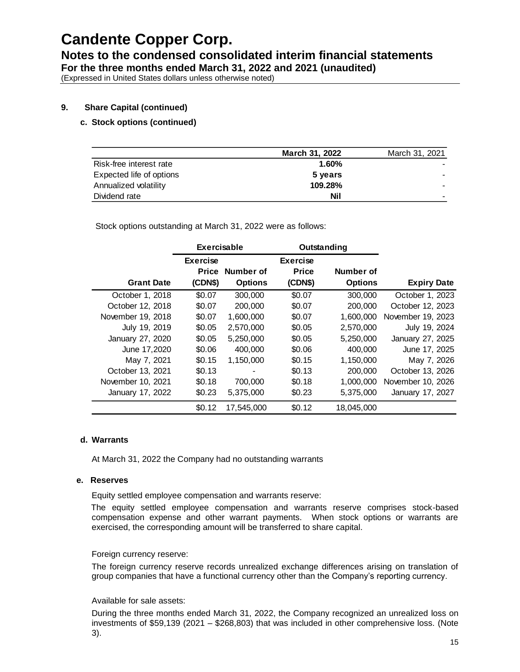**Notes to the condensed consolidated interim financial statements**

**For the three months ended March 31, 2022 and 2021 (unaudited)**

(Expressed in United States dollars unless otherwise noted)

### **9. Share Capital (continued)**

### **c. Stock options (continued)**

|                          | March 31, 2022 | March 31, 2021           |
|--------------------------|----------------|--------------------------|
| Risk-free interest rate  | 1.60%          |                          |
| Expected life of options | 5 years        |                          |
| Annualized volatility    | 109.28%        |                          |
| Dividend rate            | Nil            | $\overline{\phantom{a}}$ |

Stock options outstanding at March 31, 2022 were as follows:

|                   | Exercisable                     |                | Outstanding                     |                |                    |
|-------------------|---------------------------------|----------------|---------------------------------|----------------|--------------------|
|                   | <b>Exercise</b><br><b>Price</b> | Number of      | <b>Exercise</b><br><b>Price</b> | Number of      |                    |
| <b>Grant Date</b> | (CDN\$)                         | <b>Options</b> | (CDN\$)                         | <b>Options</b> | <b>Expiry Date</b> |
| October 1, 2018   | \$0.07                          | 300,000        | \$0.07                          | 300,000        | October 1, 2023    |
| October 12, 2018  | \$0.07                          | 200,000        | \$0.07                          | 200,000        | October 12, 2023   |
| November 19, 2018 | \$0.07                          | 1,600,000      | \$0.07                          | 1,600,000      | November 19, 2023  |
| July 19, 2019     | \$0.05                          | 2,570,000      | \$0.05                          | 2,570,000      | July 19, 2024      |
| January 27, 2020  | \$0.05                          | 5,250,000      | \$0.05                          | 5,250,000      | January 27, 2025   |
| June 17,2020      | \$0.06                          | 400,000        | \$0.06                          | 400,000        | June 17, 2025      |
| May 7, 2021       | \$0.15                          | 1,150,000      | \$0.15                          | 1,150,000      | May 7, 2026        |
| October 13, 2021  | \$0.13                          |                | \$0.13                          | 200,000        | October 13, 2026   |
| November 10, 2021 | \$0.18                          | 700,000        | \$0.18                          | 1,000,000      | November 10, 2026  |
| January 17, 2022  | \$0.23                          | 5,375,000      | \$0.23                          | 5,375,000      | January 17, 2027   |
|                   | \$0.12                          | 17.545.000     | \$0.12                          | 18.045.000     |                    |

### **d. Warrants**

At March 31, 2022 the Company had no outstanding warrants

### **e. Reserves**

Equity settled employee compensation and warrants reserve:

The equity settled employee compensation and warrants reserve comprises stock-based compensation expense and other warrant payments. When stock options or warrants are exercised, the corresponding amount will be transferred to share capital.

### Foreign currency reserve:

The foreign currency reserve records unrealized exchange differences arising on translation of group companies that have a functional currency other than the Company's reporting currency.

#### Available for sale assets:

During the three months ended March 31, 2022, the Company recognized an unrealized loss on investments of \$59,139 (2021 – \$268,803) that was included in other comprehensive loss. (Note 3).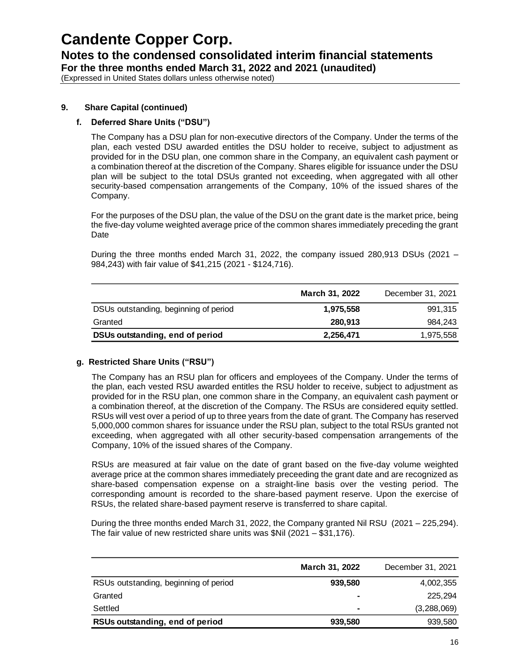**Notes to the condensed consolidated interim financial statements**

**For the three months ended March 31, 2022 and 2021 (unaudited)**

(Expressed in United States dollars unless otherwise noted)

### **9. Share Capital (continued)**

### **f. Deferred Share Units ("DSU")**

The Company has a DSU plan for non-executive directors of the Company. Under the terms of the plan, each vested DSU awarded entitles the DSU holder to receive, subject to adjustment as provided for in the DSU plan, one common share in the Company, an equivalent cash payment or a combination thereof at the discretion of the Company. Shares eligible for issuance under the DSU plan will be subject to the total DSUs granted not exceeding, when aggregated with all other security-based compensation arrangements of the Company, 10% of the issued shares of the Company.

For the purposes of the DSU plan, the value of the DSU on the grant date is the market price, being the five-day volume weighted average price of the common shares immediately preceding the grant Date

During the three months ended March 31, 2022, the company issued 280,913 DSUs (2021 – 984,243) with fair value of \$41,215 (2021 - \$124,716).

|                                       | March 31, 2022 | December 31, 2021 |
|---------------------------------------|----------------|-------------------|
| DSUs outstanding, beginning of period | 1,975,558      | 991.315           |
| Granted                               | 280.913        | 984.243           |
| DSUs outstanding, end of period       | 2,256,471      | 1,975,558         |

### **g. Restricted Share Units ("RSU")**

The Company has an RSU plan for officers and employees of the Company. Under the terms of the plan, each vested RSU awarded entitles the RSU holder to receive, subject to adjustment as provided for in the RSU plan, one common share in the Company, an equivalent cash payment or a combination thereof, at the discretion of the Company. The RSUs are considered equity settled. RSUs will vest over a period of up to three years from the date of grant. The Company has reserved 5,000,000 common shares for issuance under the RSU plan, subject to the total RSUs granted not exceeding, when aggregated with all other security-based compensation arrangements of the Company, 10% of the issued shares of the Company.

RSUs are measured at fair value on the date of grant based on the five-day volume weighted average price at the common shares immediately preceeding the grant date and are recognized as share-based compensation expense on a straight-line basis over the vesting period. The corresponding amount is recorded to the share-based payment reserve. Upon the exercise of RSUs, the related share-based payment reserve is transferred to share capital.

During the three months ended March 31, 2022, the Company granted Nil RSU (2021 – 225,294). The fair value of new restricted share units was \$Nil (2021 – \$31,176).

|                                       | March 31, 2022 | December 31, 2021 |
|---------------------------------------|----------------|-------------------|
| RSUs outstanding, beginning of period | 939.580        | 4,002,355         |
| Granted                               | ۰              | 225.294           |
| Settled                               | $\blacksquare$ | (3,288,069)       |
| RSUs outstanding, end of period       | 939,580        | 939,580           |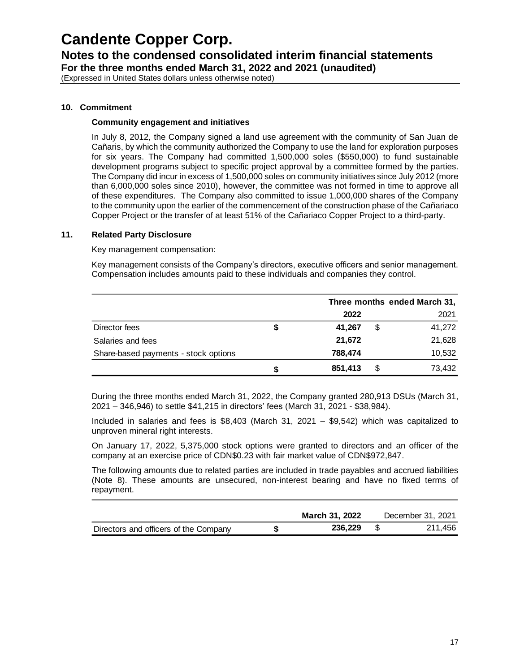**Notes to the condensed consolidated interim financial statements**

**For the three months ended March 31, 2022 and 2021 (unaudited)**

(Expressed in United States dollars unless otherwise noted)

### **10. Commitment**

### **Community engagement and initiatives**

In July 8, 2012, the Company signed a land use agreement with the community of San Juan de Cañaris, by which the community authorized the Company to use the land for exploration purposes for six years. The Company had committed 1,500,000 soles (\$550,000) to fund sustainable development programs subject to specific project approval by a committee formed by the parties. The Company did incur in excess of 1,500,000 soles on community initiatives since July 2012 (more than 6,000,000 soles since 2010), however, the committee was not formed in time to approve all of these expenditures. The Company also committed to issue 1,000,000 shares of the Company to the community upon the earlier of the commencement of the construction phase of the Cañariaco Copper Project or the transfer of at least 51% of the Cañariaco Copper Project to a third-party.

#### **11. Related Party Disclosure**

Key management compensation:

Key management consists of the Company's directors, executive officers and senior management. Compensation includes amounts paid to these individuals and companies they control.

|                                      | Three months ended March 31, |    |        |
|--------------------------------------|------------------------------|----|--------|
|                                      | 2022                         |    | 2021   |
| Director fees                        | 41,267                       | \$ | 41,272 |
| Salaries and fees                    | 21,672                       |    | 21,628 |
| Share-based payments - stock options | 788,474                      |    | 10,532 |
|                                      | 851,413                      | \$ | 73,432 |

During the three months ended March 31, 2022, the Company granted 280,913 DSUs (March 31, 2021 – 346,946) to settle \$41,215 in directors' fees (March 31, 2021 - \$38,984).

Included in salaries and fees is \$8,403 (March 31, 2021 – \$9,542) which was capitalized to unproven mineral right interests.

On January 17, 2022, 5,375,000 stock options were granted to directors and an officer of the company at an exercise price of CDN\$0.23 with fair market value of CDN\$972,847.

The following amounts due to related parties are included in trade payables and accrued liabilities (Note 8). These amounts are unsecured, non-interest bearing and have no fixed terms of repayment.

|                                       | March 31, 2022 | December 31, 2021 |
|---------------------------------------|----------------|-------------------|
| Directors and officers of the Company | 236.229        | 211.456           |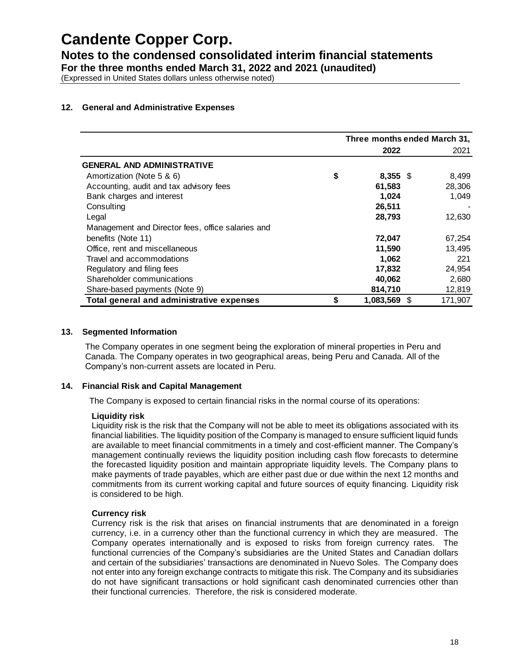**Notes to the condensed consolidated interim financial statements**

**For the three months ended March 31, 2022 and 2021 (unaudited)**

(Expressed in United States dollars unless otherwise noted)

### **12. General and Administrative Expenses**

|                                                   | Three months ended March 31, |                 |  |
|---------------------------------------------------|------------------------------|-----------------|--|
|                                                   | 2022                         | 2021            |  |
| <b>GENERAL AND ADMINISTRATIVE</b>                 |                              |                 |  |
| Amortization (Note 5 & 6)                         | \$<br>$8,355$ \$             | 8,499           |  |
| Accounting, audit and tax advisory fees           | 61,583                       | 28,306          |  |
| Bank charges and interest                         | 1,024                        | 1,049           |  |
| Consulting                                        | 26,511                       |                 |  |
| Legal                                             | 28,793                       | 12,630          |  |
| Management and Director fees, office salaries and |                              |                 |  |
| benefits (Note 11)                                | 72,047                       | 67,254          |  |
| Office, rent and miscellaneous                    | 11.590                       | 13,495          |  |
| Travel and accommodations                         | 1,062                        | 221             |  |
| Regulatory and filing fees                        | 17,832                       | 24,954          |  |
| Shareholder communications                        | 40,062                       | 2,680           |  |
| Share-based payments (Note 9)                     | 814,710                      | 12,819          |  |
| Total general and administrative expenses         | \$<br>1,083,569              | 171,907<br>- \$ |  |

### **13. Segmented Information**

The Company operates in one segment being the exploration of mineral properties in Peru and Canada. The Company operates in two geographical areas, being Peru and Canada. All of the Company's non-current assets are located in Peru.

#### **14. Financial Risk and Capital Management**

The Company is exposed to certain financial risks in the normal course of its operations:

#### **Liquidity risk**

Liquidity risk is the risk that the Company will not be able to meet its obligations associated with its financial liabilities. The liquidity position of the Company is managed to ensure sufficient liquid funds are available to meet financial commitments in a timely and cost-efficient manner. The Company's management continually reviews the liquidity position including cash flow forecasts to determine the forecasted liquidity position and maintain appropriate liquidity levels. The Company plans to make payments of trade payables, which are either past due or due within the next 12 months and commitments from its current working capital and future sources of equity financing. Liquidity risk is considered to be high.

### **Currency risk**

Currency risk is the risk that arises on financial instruments that are denominated in a foreign currency, i.e. in a currency other than the functional currency in which they are measured. The Company operates internationally and is exposed to risks from foreign currency rates. The functional currencies of the Company's subsidiaries are the United States and Canadian dollars and certain of the subsidiaries' transactions are denominated in Nuevo Soles. The Company does not enter into any foreign exchange contracts to mitigate this risk. The Company and its subsidiaries do not have significant transactions or hold significant cash denominated currencies other than their functional currencies. Therefore, the risk is considered moderate.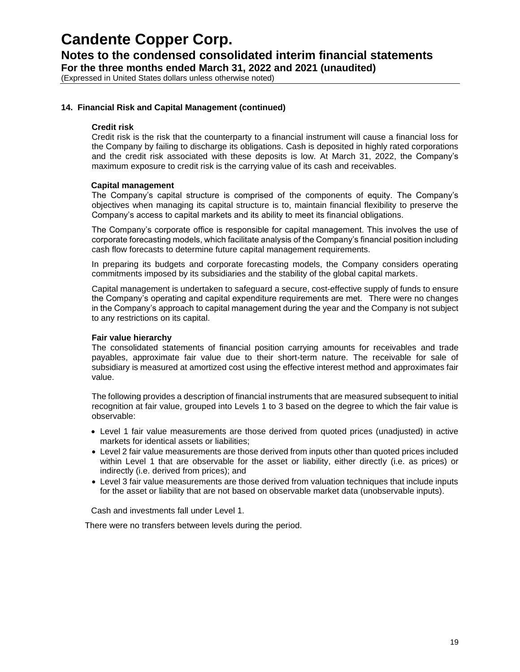**Notes to the condensed consolidated interim financial statements**

**For the three months ended March 31, 2022 and 2021 (unaudited)**

(Expressed in United States dollars unless otherwise noted)

### **14. Financial Risk and Capital Management (continued)**

#### **Credit risk**

Credit risk is the risk that the counterparty to a financial instrument will cause a financial loss for the Company by failing to discharge its obligations. Cash is deposited in highly rated corporations and the credit risk associated with these deposits is low. At March 31, 2022, the Company's maximum exposure to credit risk is the carrying value of its cash and receivables.

#### **Capital management**

The Company's capital structure is comprised of the components of equity. The Company's objectives when managing its capital structure is to, maintain financial flexibility to preserve the Company's access to capital markets and its ability to meet its financial obligations.

The Company's corporate office is responsible for capital management. This involves the use of corporate forecasting models, which facilitate analysis of the Company's financial position including cash flow forecasts to determine future capital management requirements.

In preparing its budgets and corporate forecasting models, the Company considers operating commitments imposed by its subsidiaries and the stability of the global capital markets.

Capital management is undertaken to safeguard a secure, cost-effective supply of funds to ensure the Company's operating and capital expenditure requirements are met. There were no changes in the Company's approach to capital management during the year and the Company is not subject to any restrictions on its capital.

#### **Fair value hierarchy**

The consolidated statements of financial position carrying amounts for receivables and trade payables, approximate fair value due to their short-term nature. The receivable for sale of subsidiary is measured at amortized cost using the effective interest method and approximates fair value.

The following provides a description of financial instruments that are measured subsequent to initial recognition at fair value, grouped into Levels 1 to 3 based on the degree to which the fair value is observable:

- Level 1 fair value measurements are those derived from quoted prices (unadjusted) in active markets for identical assets or liabilities;
- Level 2 fair value measurements are those derived from inputs other than quoted prices included within Level 1 that are observable for the asset or liability, either directly (i.e. as prices) or indirectly (i.e. derived from prices); and
- Level 3 fair value measurements are those derived from valuation techniques that include inputs for the asset or liability that are not based on observable market data (unobservable inputs).

Cash and investments fall under Level 1.

There were no transfers between levels during the period.